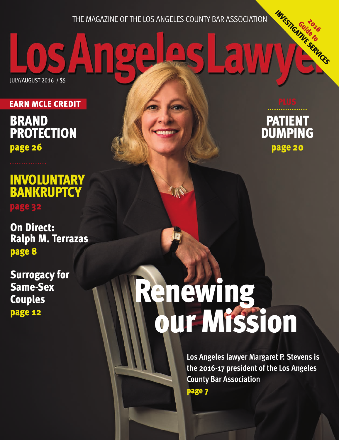### THE MAGAZINE OF THE LOS ANGELES COUNTY BAR ASSOCIATION

Λ

Δ

JULY/AUGUST 2016 / \$5

### **EARN MCLE CREDIT**

**BRAND PROTECTION page 26**

## **INVOLUNTARY BANKRUPTCY**

**page 32**

**On Direct: Ralph M. Terrazas page 8**

**Surrogacy for Same-Sex Couples page 12**

# **Renewing our Mission**

**Los Angeles lawyer Margaret P. Stevens is the 2016-17 president of the Los Angeles County Bar Association page 7**

**PATIENT DUMPING page 20**

**2016 Guide to INVESTIGATIONS SERVICES**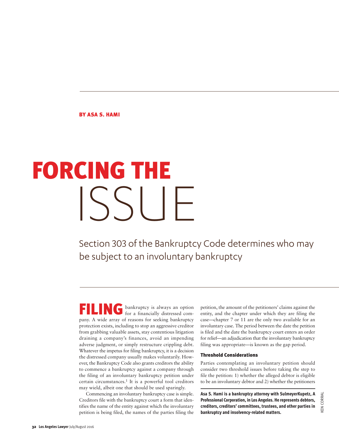**BY ASA S. HAMI**

# **FORCING THE**  $551$

Section 303 of the Bankruptcy Code determines who may be subject to an involuntary bankruptcy

bankruptcy is always an option **FILING** bankruptcy is always an option pany. A wide array of reasons for seeking bankruptcy protection exists, including to stop an aggressive creditor from grabbing valuable assets, stay contentious litigation draining a company's finances, avoid an impending adverse judgment, or simply restructure crippling debt. Whatever the impetus for filing bankruptcy, it is a decision the distressed company usually makes voluntarily. However, the Bankruptcy Code also grants creditors the ability to commence a bankruptcy against a company through the filing of an involuntary bankruptcy petition under certain circumstances.1 It is a powerful tool creditors may wield, albeit one that should be used sparingly.

Commencing an involuntary bankruptcy case is simple. Creditors file with the bankruptcy court a form that identifies the name of the entity against which the involuntary petition is being filed, the names of the parties filing the

petition, the amount of the petitioners' claims against the entity, and the chapter under which they are filing the case—chapter 7 or 11 are the only two available for an involuntary case. The period between the date the petition is filed and the date the bankruptcy court enters an order for relief—an adjudication that the involuntary bankruptcy filing was appropriate—is known as the gap period.

### **Threshold Considerations**

Parties contemplating an involuntary petition should consider two threshold issues before taking the step to file the petition: 1) whether the alleged debtor is eligible to be an involuntary debtor and 2) whether the petitioners

**Asa S. Hami is a bankruptcy attorney with SulmeyerKupetz, A Professional Corporation, in Los Angeles. He represents debtors, creditors, creditors' committees, trustees, and other parties in bankruptcy and insolvency-related matters.**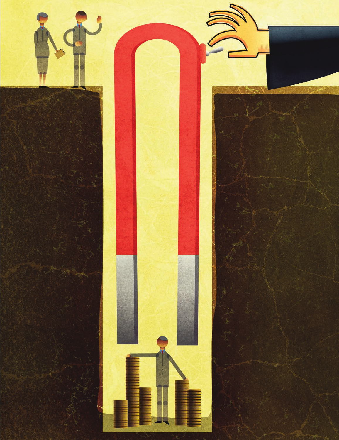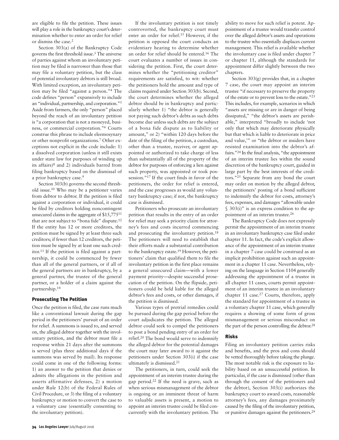are eligible to file the petition. These issues will play a role in the bankruptcy court's determination whether to enter an order for relief or dismiss the case.2

Section 303(a) of the Bankruptcy Code governs the first threshold issue.3 The universe of parties against whom an involuntary petition may be filed is narrower than those that may file a voluntary petition, but the class of potential involuntary debtors is still broad. With limited exception, an involuntary petition may be filed "against a person."4 The code defines "person" expansively to include an "individual, partnership, and corporation."5 Aside from farmers, the only "person" placed beyond the reach of an involuntary petition is "a corporation that is not a moneyed, business, or commercial corporation."6 Courts construe this phrase to include eleemosynary or other nonprofit organizations.<sup>7</sup> Other exceptions not explicit in the code include: 1) a dissolved corporation (unless it still exists under state law for purposes of winding up its affairs)8 and 2) individuals barred from filing bankruptcy based on the dismissal of a prior bankruptcy case.<sup>9</sup>

Section 303(b) governs the second threshold issue.10 Who may be a petitioner varies from debtor to debtor. If the petition is filed against a corporation or individual, it could be filed by creditors holding noncontingent unsecured claims in the aggregate of  $$15,775^{11}$ that are not subject to "bona fide" dispute.12 If the entity has 12 or more creditors, the petition must be signed by at least three such creditors; if fewer than 12 creditors, the petition must be signed by at least one such creditor.13 If the petition is filed against a partnership, it could be commenced by fewer than all of the general partners, or if all of the general partners are in bankruptcy, by a general partner, the trustee of the general partner, or a holder of a claim against the partnership.14

### **Prosecuting The Petition**

Once the petition is filed, the case runs much like a conventional lawsuit during the gap period in the petitioners' pursuit of an order for relief. A summons is issued to, and served on, the alleged debtor together with the involuntary petition, and the debtor must file a response within 21 days after the summons is served (plus three additional days if the summons was served by mail). Its response could come in one of the following forms: 1) an answer to the petition that denies or admits the allegations in the petition and asserts affirmative defenses, 2) a motion un der Rule 12(b) of the Federal Rules of Civil Procedure, or 3) the filing of a voluntary bankruptcy or motion to convert the case to a voluntary case (essentially consenting to the involuntary petition).

If the involuntary petition is not timely controverted, the bankruptcy court must enter an order for relief.15 However, if the petition is opposed the court conducts an evidentiary hearing to determine whether an order for relief should be entered.16 The court evaluates a number of issues in considering the petition. First, the court determines whether the "petitioning creditor" requirements are satisfied, to wit: whether the petitioners hold the amount and type of claims required under Section 303(b). Second, the court determines whether the alleged debtor should be in bankruptcy and particularly whether 1) "the debtor is generally not paying such debtor's debts as such debts become due unless such debts are the subject of a bona fide dispute as to liability or amount," or 2) "within 120 days before the date of the filing of the petition, a custodian, other than a trustee, receiver, or agent appointed or authorized to take charge of less than substantially all of the property of the debtor for purposes of enforcing a lien against such property, was appointed or took possession."17 If the court finds in favor of the petitioners, the order for relief is entered, and the case progresses as would any voluntary bankruptcy case; if not, the bankruptcy case is dismissed.

Petitioners who prosecute an involuntary petition that results in the entry of an order for relief may seek a priority claim for attorney's fees and costs incurred commencing and prosecuting the involuntary petition.18 The petitioners will need to establish that their efforts made a substantial contribution to the bankruptcy estate.19 However, the petitioners' claim that qualified them to file the involuntary petition in the first place remains a general unsecured claim—with a lower payment priority—despite successful prosecution of the petition. On the flipside, petitioners could be held liable for the alleged debtor's fees and costs, or other damages, if the petition is dismissed.

Various types of pretrial remedies could be pursued during the gap period before the court adjudicates the petition. The alleged debtor could seek to compel the petitioners to post a bond pending entry of an order for relief.20 The bond would serve to indemnify the alleged debtor for the potential damages the court may later award to it against the petitioners under Section 303(i) if the case ultimately is dismissed.21

The petitioners, in turn, could seek the appointment of an interim trustee during the gap period.<sup>22</sup> If the need is grave, such as when serious mismanagement of the debtor is ongoing or an imminent threat of harm to valuable assets is present, a motion to appoint an interim trustee could be filed concurrently with the involuntary petition. The

ability to move for such relief is potent. Appointment of a trustee would transfer control over the alleged debtor's assets and operations to the trustee who essentially displaces current management. This relief is available whether the involuntary case is filed under chapter 7 or chapter 11, although the standards for ap pointment differ slightly between the two chapters.

Section 303(g) provides that, in a chapter 7 case, the court may appoint an interim trustee "if necessary to preserve the property of the estate or to prevent loss to the estate."23 This includes, for example, scenarios in which "assets are missing or are in danger of being dissipated," "the debtor's assets are perishable," interpreted "broadly to include 'not only that which may deteriorate physically but that which is liable to deteriorate in price and value,'" or "the debtor or insiders have resisted examination into the debtor's affairs."24 In the final analysis, "the appointment of an interim trustee lies within the sound discretion of the bankruptcy court, guided in large part by the best interests of the creditors."25 Separate from any bond the court may order on motion by the alleged debtor, the petitioners' posting of a bond sufficient to indemnify the debtor for costs, attorney's fees, expenses, and damages "allowable under § 303(i)" is an express condition to the appointment of an interim trustee.26

The Bankruptcy Code does not expressly permit the appointment of an interim trustee in an involuntary bankruptcy case filed under chapter 11. In fact, the code's explicit allow ance of the appointment of an interim trustee in a chapter 7 case could be construed as an implicit prohibition against such an appointment in a chapter 11 case. Nevertheless, relying on the language in Section 1104 generally addressing the appointment of a trustee in all chapter 11 cases, courts permit appointment of an interim trustee in an involuntary chapter 11 case.27 Courts, therefore, apply the standard for appointment of a trustee in a voluntary chapter 11 case, which generally requires a showing of some form of gross mismanagement or serious misconduct on the part of the person controlling the debtor.<sup>28</sup>

#### **Risks**

Filing an involuntary petition carries risks and benefits, and the pros and cons should be vetted thoroughly before taking the plunge. The most notable risk is the exposure to liability based on an unsuccessful petition. In particular, if the case is dismissed (other than through the consent of the petitioners and the debtor), Section 303(i) authorizes the bankruptcy court to award costs, reasonable attorney's fees, any damages proximately caused by the filing of the involuntary petition, or punitive damages against the petitioners.29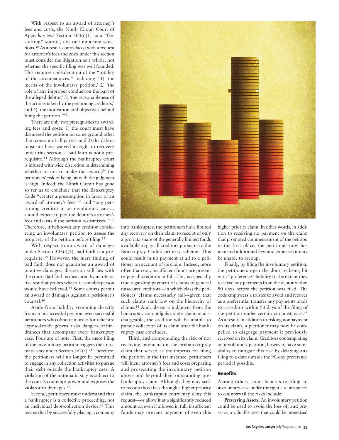With respect to an award of attorney's fees and costs, the Ninth Circuit Court of Appeals views Section 303(i)(1) as a "feeshifting" statute, not one imposing sanctions.30 As a result, courts faced with a request for attorney's fees and costs under this section must consider the litigation as a whole, not whether the specific filing was well founded. This requires consideration of the "totality of the circumstances," including "1) 'the merits of the involuntary petition,' 2) 'the role of any improper conduct on the part of the alleged debtor,' 3) 'the reasonableness of the actions taken by the petitioning creditors,' and 4) 'the motivation and objectives behind filing the petition."<sup>31</sup>

There are only two prerequisites to awarding fees and costs: 1) the court must have dismissed the petition on some ground other than consent of all parties and 2) the debtor must not have waived its right to recovery under this section.32 Bad faith is not a prerequisite.33 Although the bankruptcy court is infused with wide discretion in determining whether or not to make the award,<sup>34</sup> the petitioners' risk of being hit with the judgment is high. Indeed, the Ninth Circuit has gone so far as to conclude that the Bankruptcy Code "creates a presumption in favor of an award of attorney's fees"35 and "any petitioning creditor in an involuntary case… should expect to pay the debtor's attorney's fees and costs if the petition is dismissed."36 Therefore, it behooves any creditor considering an involuntary petition to assess the propriety of the petition before filing.37

With respect to an award of damages under Section 303(i)(2), bad faith is a prerequisite.38 However, the mere finding of bad faith does not guarantee an award of punitive damages; discretion still lies with the court. Bad faith is measured by an objective test that probes what a reasonable person would have believed.39 Some courts permit an award of damages against a petitioner's counsel.40

Aside from liability stemming directly from an unsuccessful petition, even successful petitioners who obtain an order for relief are exposed to the general risks, dangers, or hindrances that accompany every bankruptcy case. Four are of note. First, the mere filing of the involuntary petition triggers the automatic stay under Section 362(a).41 Therefore, the petitioners will no longer be permitted to engage in any collection activities to pursue their debt outside the bankruptcy case. A violation of the automatic stay is subject to the court's contempt power and exposes the violator to damages.42

Second, petitioners must understand that a bankruptcy is a collective proceeding, not an individual debt-collection device.43 This means that by successfully placing a company



Third, and compounding the risk of not receiving payment on the prebankruptcy claim that served as the impetus for filing the petition in the first instance, petitioners will incur attorney's fees and costs preparing and prosecuting the involuntary petition above and beyond their outstanding prebankruptcy claim. Although they may seek to recoup those fees through a higher priority claim, the bankruptcy court may deny this request—or allow it at a significantly reduced amount or, even if allowed in full, insufficient funds may prevent payment of even this

higher priority claim. In other words, in addition to receiving no payment on the claim that prompted commencement of the petition in the first place, the petitioner now has incurred additional fees and expenses it may be unable to recoup.

Finally, by filing the involuntary petition, the petitioners open the door to being hit with "preference" liability to the extent they received any payments from the debtor within 90 days before the petition was filed. The code empowers a trustee to avoid and recover as a preferential transfer any payments made to a creditor within 90 days of the filing of the petition under certain circumstances.<sup>45</sup> As a result, in addition to risking nonpayment on its claim, a petitioner may now be compelled to disgorge payment it previously received on its claim. Creditors contemplating an involuntary petition, however, have some ability to mitigate this risk by delaying any filing to a date outside the 90-day preference period if possible.

#### **Benefits**

Among others, some benefits to filing an involuntary case under the right circumstances to countervail the risks include:

**Preserving Assets.** An involuntary petition could be used to avoid the loss of, and preserve, a valuable asset that could be monetized